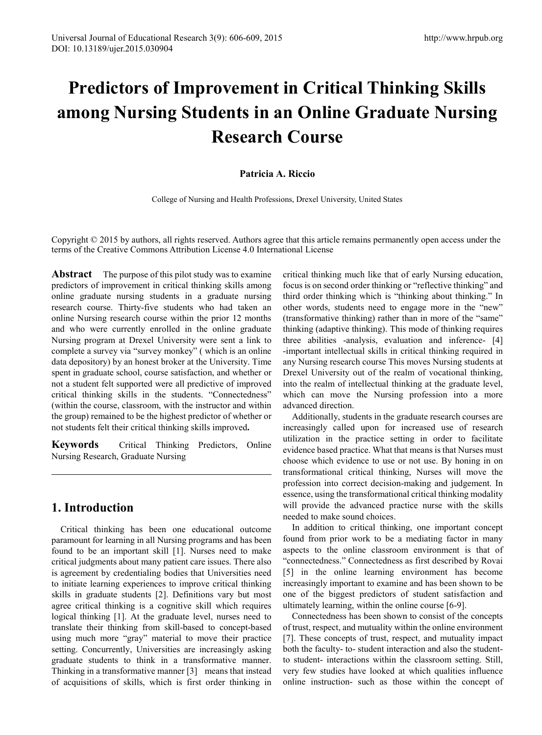# **Predictors of Improvement in Critical Thinking Skills among Nursing Students in an Online Graduate Nursing Research Course**

### **Patricia A. Riccio**

College of Nursing and Health Professions, Drexel University, United States

Copyright © 2015 by authors, all rights reserved. Authors agree that this article remains permanently open access under the terms of the Creative Commons Attribution License 4.0 International License

**Abstract** The purpose of this pilot study was to examine predictors of improvement in critical thinking skills among online graduate nursing students in a graduate nursing research course. Thirty-five students who had taken an online Nursing research course within the prior 12 months and who were currently enrolled in the online graduate Nursing program at Drexel University were sent a link to complete a survey via "survey monkey" ( which is an online data depository) by an honest broker at the University. Time spent in graduate school, course satisfaction, and whether or not a student felt supported were all predictive of improved critical thinking skills in the students. "Connectedness" (within the course, classroom, with the instructor and within the group) remained to be the highest predictor of whether or not students felt their critical thinking skills improved**.** 

**Keywords** Critical Thinking Predictors, Online Nursing Research, Graduate Nursing

# **1. Introduction**

Critical thinking has been one educational outcome paramount for learning in all Nursing programs and has been found to be an important skill [1]. Nurses need to make critical judgments about many patient care issues. There also is agreement by credentialing bodies that Universities need to initiate learning experiences to improve critical thinking skills in graduate students [2]. Definitions vary but most agree critical thinking is a cognitive skill which requires logical thinking [1]. At the graduate level, nurses need to translate their thinking from skill-based to concept-based using much more "gray" material to move their practice setting. Concurrently, Universities are increasingly asking graduate students to think in a transformative manner. Thinking in a transformative manner [3] means that instead of acquisitions of skills, which is first order thinking in

critical thinking much like that of early Nursing education, focus is on second order thinking or "reflective thinking" and third order thinking which is "thinking about thinking." In other words, students need to engage more in the "new" (transformative thinking) rather than in more of the "same" thinking (adaptive thinking). This mode of thinking requires three abilities -analysis, evaluation and inference- [4] -important intellectual skills in critical thinking required in any Nursing research course This moves Nursing students at Drexel University out of the realm of vocational thinking, into the realm of intellectual thinking at the graduate level, which can move the Nursing profession into a more advanced direction.

Additionally, students in the graduate research courses are increasingly called upon for increased use of research utilization in the practice setting in order to facilitate evidence based practice. What that means is that Nurses must choose which evidence to use or not use. By honing in on transformational critical thinking, Nurses will move the profession into correct decision-making and judgement. In essence, using the transformational critical thinking modality will provide the advanced practice nurse with the skills needed to make sound choices.

In addition to critical thinking, one important concept found from prior work to be a mediating factor in many aspects to the online classroom environment is that of "connectedness." Connectedness as first described by Rovai [5] in the online learning environment has become increasingly important to examine and has been shown to be one of the biggest predictors of student satisfaction and ultimately learning, within the online course [6-9].

Connectedness has been shown to consist of the concepts of trust, respect, and mutuality within the online environment [7]. These concepts of trust, respect, and mutuality impact both the faculty- to- student interaction and also the studentto student- interactions within the classroom setting. Still, very few studies have looked at which qualities influence online instruction- such as those within the concept of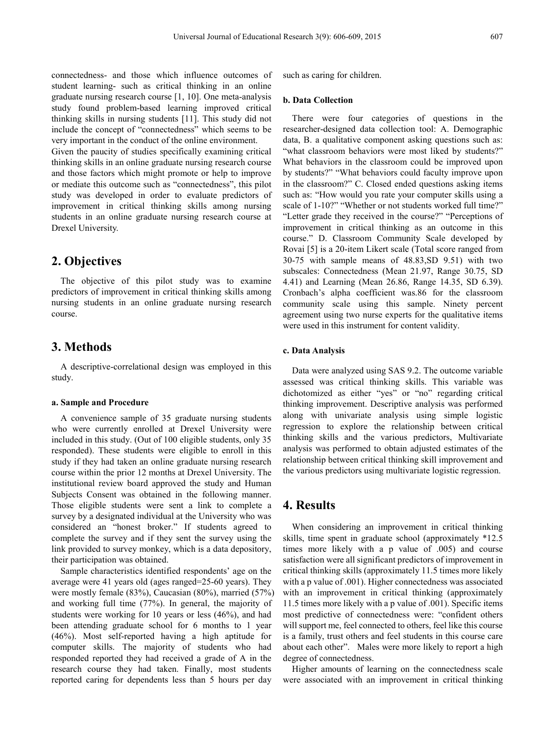connectedness- and those which influence outcomes of student learning- such as critical thinking in an online graduate nursing research course [1, 10]. One meta-analysis study found problem-based learning improved critical thinking skills in nursing students [11]. This study did not include the concept of "connectedness" which seems to be very important in the conduct of the online environment.

Given the paucity of studies specifically examining critical thinking skills in an online graduate nursing research course and those factors which might promote or help to improve or mediate this outcome such as "connectedness", this pilot study was developed in order to evaluate predictors of improvement in critical thinking skills among nursing students in an online graduate nursing research course at Drexel University.

## **2. Objectives**

The objective of this pilot study was to examine predictors of improvement in critical thinking skills among nursing students in an online graduate nursing research course.

## **3. Methods**

A descriptive-correlational design was employed in this study.

#### **a. Sample and Procedure**

A convenience sample of 35 graduate nursing students who were currently enrolled at Drexel University were included in this study. (Out of 100 eligible students, only 35 responded). These students were eligible to enroll in this study if they had taken an online graduate nursing research course within the prior 12 months at Drexel University. The institutional review board approved the study and Human Subjects Consent was obtained in the following manner. Those eligible students were sent a link to complete a survey by a designated individual at the University who was considered an "honest broker." If students agreed to complete the survey and if they sent the survey using the link provided to survey monkey, which is a data depository, their participation was obtained.

Sample characteristics identified respondents' age on the average were 41 years old (ages ranged=25-60 years). They were mostly female (83%), Caucasian (80%), married (57%) and working full time (77%). In general, the majority of students were working for 10 years or less (46%), and had been attending graduate school for 6 months to 1 year (46%). Most self-reported having a high aptitude for computer skills. The majority of students who had responded reported they had received a grade of A in the research course they had taken. Finally, most students reported caring for dependents less than 5 hours per day

such as caring for children.

#### **b. Data Collection**

There were four categories of questions in the researcher-designed data collection tool: A. Demographic data, B. a qualitative component asking questions such as: "what classroom behaviors were most liked by students?" What behaviors in the classroom could be improved upon by students?" "What behaviors could faculty improve upon in the classroom?" C. Closed ended questions asking items such as: "How would you rate your computer skills using a scale of 1-10?" "Whether or not students worked full time?" "Letter grade they received in the course?" "Perceptions of improvement in critical thinking as an outcome in this course." D. Classroom Community Scale developed by Rovai [5] is a 20-item Likert scale (Total score ranged from 30-75 with sample means of 48.83,SD 9.51) with two subscales: Connectedness (Mean 21.97, Range 30.75, SD 4.41) and Learning (Mean 26.86, Range 14.35, SD 6.39). Cronbach's alpha coefficient was.86 for the classroom community scale using this sample. Ninety percent agreement using two nurse experts for the qualitative items were used in this instrument for content validity.

#### **c. Data Analysis**

Data were analyzed using SAS 9.2. The outcome variable assessed was critical thinking skills. This variable was dichotomized as either "yes" or "no" regarding critical thinking improvement. Descriptive analysis was performed along with univariate analysis using simple logistic regression to explore the relationship between critical thinking skills and the various predictors, Multivariate analysis was performed to obtain adjusted estimates of the relationship between critical thinking skill improvement and the various predictors using multivariate logistic regression.

## **4. Results**

When considering an improvement in critical thinking skills, time spent in graduate school (approximately \*12.5 times more likely with a p value of .005) and course satisfaction were all significant predictors of improvement in critical thinking skills (approximately 11.5 times more likely with a p value of .001). Higher connectedness was associated with an improvement in critical thinking (approximately 11.5 times more likely with a p value of .001). Specific items most predictive of connectedness were: "confident others will support me, feel connected to others, feel like this course is a family, trust others and feel students in this course care about each other". Males were more likely to report a high degree of connectedness.

Higher amounts of learning on the connectedness scale were associated with an improvement in critical thinking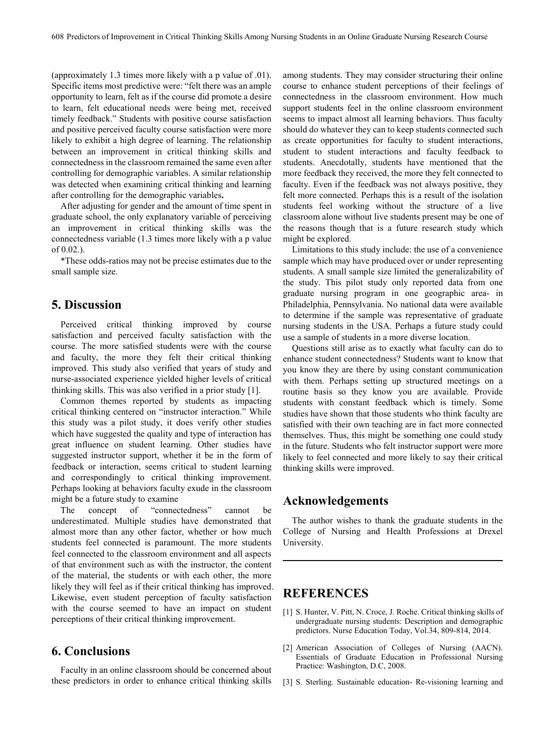(approximately 1.3 times more likely with a p value of .01). Specific items most predictive were: "felt there was an ample opportunity to learn, felt as if the course did promote a desire to learn, felt educational needs were being met, received timely feedback." Students with positive course satisfaction and positive perceived faculty course satisfaction were more likely to exhibit a high degree of learning. The relationship between an improvement in critical thinking skills and connectedness in the classroom remained the same even after controlling for demographic variables. A similar relationship was detected when examining critical thinking and learning after controlling for the demographic variables**.**

After adjusting for gender and the amount of time spent in graduate school, the only explanatory variable of perceiving an improvement in critical thinking skills was the connectedness variable (1.3 times more likely with a p value of 0.02.).

\*These odds-ratios may not be precise estimates due to the small sample size.

# **5. Discussion**

Perceived critical thinking improved by course satisfaction and perceived faculty satisfaction with the course. The more satisfied students were with the course and faculty, the more they felt their critical thinking improved. This study also verified that years of study and nurse-associated experience yielded higher levels of critical thinking skills. This was also verified in a prior study [1].

Common themes reported by students as impacting critical thinking centered on "instructor interaction." While this study was a pilot study, it does verify other studies which have suggested the quality and type of interaction has great influence on student learning. Other studies have suggested instructor support, whether it be in the form of feedback or interaction, seems critical to student learning and correspondingly to critical thinking improvement. Perhaps looking at behaviors faculty exude in the classroom might be a future study to examine

The concept of "connectedness" cannot be underestimated. Multiple studies have demonstrated that almost more than any other factor, whether or how much students feel connected is paramount. The more students feel connected to the classroom environment and all aspects of that environment such as with the instructor, the content of the material, the students or with each other, the more likely they will feel as if their critical thinking has improved. Likewise, even student perception of faculty satisfaction with the course seemed to have an impact on student perceptions of their critical thinking improvement.

# **6. Conclusions**

Faculty in an online classroom should be concerned about these predictors in order to enhance critical thinking skills

among students. They may consider structuring their online course to enhance student perceptions of their feelings of connectedness in the classroom environment. How much support students feel in the online classroom environment seems to impact almost all learning behaviors. Thus faculty should do whatever they can to keep students connected such as create opportunities for faculty to student interactions, student to student interactions and faculty feedback to students. Anecdotally, students have mentioned that the more feedback they received, the more they felt connected to faculty. Even if the feedback was not always positive, they felt more connected. Perhaps this is a result of the isolation students feel working without the structure of a live classroom alone without live students present may be one of the reasons though that is a future research study which might be explored.

Limitations to this study include: the use of a convenience sample which may have produced over or under representing students. A small sample size limited the generalizability of the study. This pilot study only reported data from one graduate nursing program in one geographic area- in Philadelphia, Pennsylvania. No national data were available to determine if the sample was representative of graduate nursing students in the USA. Perhaps a future study could use a sample of students in a more diverse location.

Questions still arise as to exactly what faculty can do to enhance student connectedness? Students want to know that you know they are there by using constant communication with them. Perhaps setting up structured meetings on a routine basis so they know you are available. Provide students with constant feedback which is timely. Some studies have shown that those students who think faculty are satisfied with their own teaching are in fact more connected themselves. Thus, this might be something one could study in the future. Students who felt instructor support were more likely to feel connected and more likely to say their critical thinking skills were improved.

# **Acknowledgements**

The author wishes to thank the graduate students in the College of Nursing and Health Professions at Drexel University.

## **REFERENCES**

- [1] S. Hunter, V. Pitt, N. Croce, J. Roche. Critical thinking skills of undergraduate nursing students: Description and demographic predictors. Nurse Education Today, Vol.34, 809-814, 2014.
- [2] American Association of Colleges of Nursing (AACN). Essentials of Graduate Education in Professional Nursing Practice: Washington, D.C, 2008.
- [3] S. Sterling. Sustainable education- Re-visioning learning and